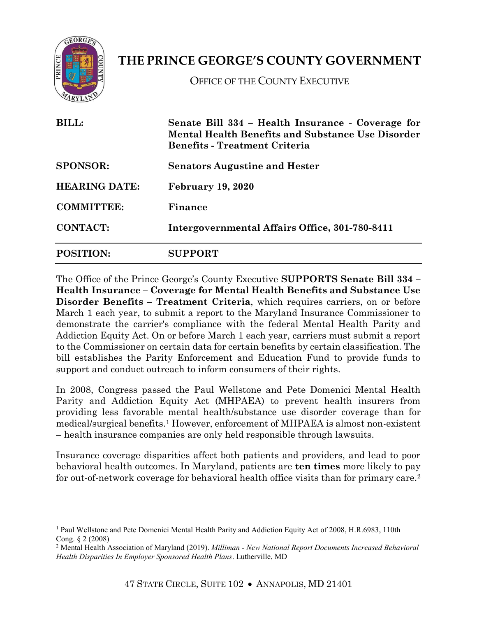

 $\overline{a}$ 

## **THE PRINCE GEORGE'S COUNTY GOVERNMENT**

OFFICE OF THE COUNTY EXECUTIVE

| <b>BILL:</b><br><b>SPONSOR:</b><br><b>HEARING DATE:</b><br><b>COMMITTEE:</b> | Senate Bill 334 - Health Insurance - Coverage for<br><b>Mental Health Benefits and Substance Use Disorder</b><br><b>Benefits - Treatment Criteria</b><br><b>Senators Augustine and Hester</b><br><b>February 19, 2020</b><br>Finance |                  |                                                |
|------------------------------------------------------------------------------|--------------------------------------------------------------------------------------------------------------------------------------------------------------------------------------------------------------------------------------|------------------|------------------------------------------------|
|                                                                              |                                                                                                                                                                                                                                      | <b>CONTACT:</b>  | Intergovernmental Affairs Office, 301-780-8411 |
|                                                                              |                                                                                                                                                                                                                                      | <b>POSITION:</b> | <b>SUPPORT</b>                                 |

The Office of the Prince George's County Executive **SUPPORTS Senate Bill 334 – Health Insurance – Coverage for Mental Health Benefits and Substance Use Disorder Benefits – Treatment Criteria**, which requires carriers, on or before March 1 each year, to submit a report to the Maryland Insurance Commissioner to demonstrate the carrier's compliance with the federal Mental Health Parity and Addiction Equity Act. On or before March 1 each year, carriers must submit a report to the Commissioner on certain data for certain benefits by certain classification. The bill establishes the Parity Enforcement and Education Fund to provide funds to support and conduct outreach to inform consumers of their rights.

In 2008, Congress passed the Paul Wellstone and Pete Domenici Mental Health Parity and Addiction Equity Act (MHPAEA) to prevent health insurers from providing less favorable mental health/substance use disorder coverage than for medical/surgical benefits. <sup>1</sup> However, enforcement of MHPAEA is almost non-existent – health insurance companies are only held responsible through lawsuits.

Insurance coverage disparities affect both patients and providers, and lead to poor behavioral health outcomes. In Maryland, patients are **ten times** more likely to pay for out-of-network coverage for behavioral health office visits than for primary care.<sup>2</sup>

<sup>&</sup>lt;sup>1</sup> Paul Wellstone and Pete Domenici Mental Health Parity and Addiction Equity Act of 2008, H.R.6983, 110th Cong. § 2 (2008)

<sup>2</sup> Mental Health Association of Maryland (2019). *Milliman - New National Report Documents Increased Behavioral Health Disparities In Employer Sponsored Health Plans*. Lutherville, MD